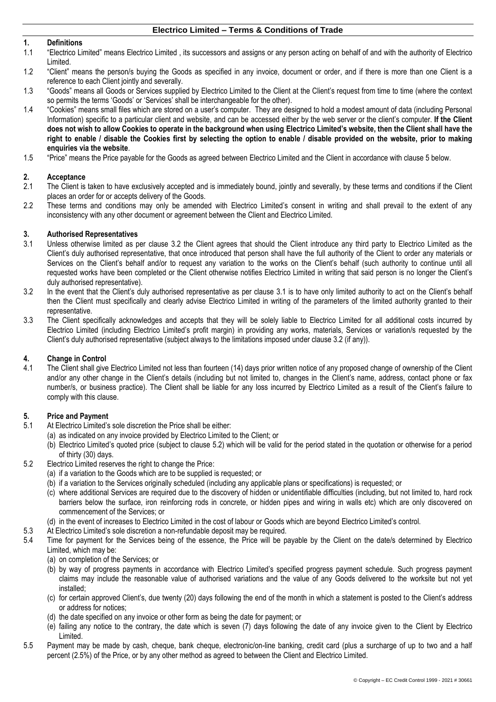### **1. Definitions**

- 1.1 "Electrico Limited" means Electrico Limited , its successors and assigns or any person acting on behalf of and with the authority of Electrico Limited.
- 1.2 "Client" means the person/s buying the Goods as specified in any invoice, document or order, and if there is more than one Client is a reference to each Client jointly and severally.
- 1.3 "Goods" means all Goods or Services supplied by Electrico Limited to the Client at the Client's request from time to time (where the context so permits the terms 'Goods' or 'Services' shall be interchangeable for the other).
- 1.4 "Cookies" means small files which are stored on a user's computer. They are designed to hold a modest amount of data (including Personal Information) specific to a particular client and website, and can be accessed either by the web server or the client's computer. **If the Client does not wish to allow Cookies to operate in the background when using Electrico Limited's website, then the Client shall have the right to enable / disable the Cookies first by selecting the option to enable / disable provided on the website, prior to making enquiries via the website**.
- 1.5 "Price" means the Price payable for the Goods as agreed between Electrico Limited and the Client in accordance with clause [5](#page-0-0) below.

# **2. Acceptance**

- The Client is taken to have exclusively accepted and is immediately bound, jointly and severally, by these terms and conditions if the Client places an order for or accepts delivery of the Goods.
- 2.2 These terms and conditions may only be amended with Electrico Limited's consent in writing and shall prevail to the extent of any inconsistency with any other document or agreement between the Client and Electrico Limited.

#### **3. Authorised Representatives**

- <span id="page-0-2"></span>3.1 Unless otherwise limited as per clause [3.2](#page-0-1) the Client agrees that should the Client introduce any third party to Electrico Limited as the Client's duly authorised representative, that once introduced that person shall have the full authority of the Client to order any materials or Services on the Client's behalf and/or to request any variation to the works on the Client's behalf (such authority to continue until all requested works have been completed or the Client otherwise notifies Electrico Limited in writing that said person is no longer the Client's duly authorised representative).
- <span id="page-0-1"></span>3.2 In the event that the Client's duly authorised representative as per clause [3.1](#page-0-2) is to have only limited authority to act on the Client's behalf then the Client must specifically and clearly advise Electrico Limited in writing of the parameters of the limited authority granted to their representative.
- 3.3 The Client specifically acknowledges and accepts that they will be solely liable to Electrico Limited for all additional costs incurred by Electrico Limited (including Electrico Limited's profit margin) in providing any works, materials, Services or variation/s requested by the Client's duly authorised representative (subject always to the limitations imposed under clause [3.2](#page-0-1) (if any)).

### **4. Change in Control**

4.1 The Client shall give Electrico Limited not less than fourteen (14) days prior written notice of any proposed change of ownership of the Client and/or any other change in the Client's details (including but not limited to, changes in the Client's name, address, contact phone or fax number/s, or business practice). The Client shall be liable for any loss incurred by Electrico Limited as a result of the Client's failure to comply with this clause.

### <span id="page-0-0"></span>**5. Price and Payment**

- 5.1 At Electrico Limited's sole discretion the Price shall be either:
	- (a) as indicated on any invoice provided by Electrico Limited to the Client; or
		- (b) Electrico Limited's quoted price (subject to clause [5.2\)](#page-0-3) which will be valid for the period stated in the quotation or otherwise for a period of thirty (30) days.
- <span id="page-0-3"></span>5.2 Electrico Limited reserves the right to change the Price:
	- (a) if a variation to the Goods which are to be supplied is requested; or
	- (b) if a variation to the Services originally scheduled (including any applicable plans or specifications) is requested; or
	- (c) where additional Services are required due to the discovery of hidden or unidentifiable difficulties (including, but not limited to, hard rock barriers below the surface, iron reinforcing rods in concrete, or hidden pipes and wiring in walls etc) which are only discovered on commencement of the Services; or
	- (d) in the event of increases to Electrico Limited in the cost of labour or Goods which are beyond Electrico Limited's control.
- 5.3 At Electrico Limited's sole discretion a non-refundable deposit may be required.
- 5.4 Time for payment for the Services being of the essence, the Price will be payable by the Client on the date/s determined by Electrico Limited, which may be:
	- (a) on completion of the Services; or
	- (b) by way of progress payments in accordance with Electrico Limited's specified progress payment schedule. Such progress payment claims may include the reasonable value of authorised variations and the value of any Goods delivered to the worksite but not yet installed;
	- (c) for certain approved Client's, due twenty (20) days following the end of the month in which a statement is posted to the Client's address or address for notices;
	- (d) the date specified on any invoice or other form as being the date for payment; or
	- (e) failing any notice to the contrary, the date which is seven (7) days following the date of any invoice given to the Client by Electrico Limited.
- 5.5 Payment may be made by cash, cheque, bank cheque, electronic/on-line banking, credit card (plus a surcharge of up to two and a half percent (2.5%) of the Price, or by any other method as agreed to between the Client and Electrico Limited.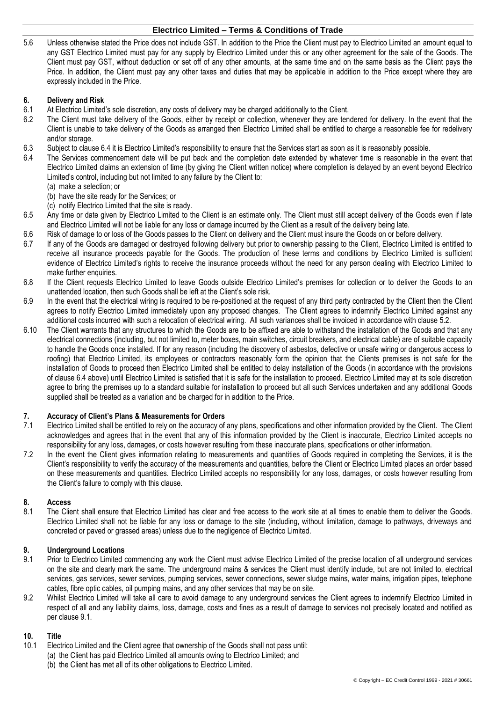5.6 Unless otherwise stated the Price does not include GST. In addition to the Price the Client must pay to Electrico Limited an amount equal to any GST Electrico Limited must pay for any supply by Electrico Limited under this or any other agreement for the sale of the Goods. The Client must pay GST, without deduction or set off of any other amounts, at the same time and on the same basis as the Client pays the Price. In addition, the Client must pay any other taxes and duties that may be applicable in addition to the Price except where they are expressly included in the Price.

## **6. Delivery and Risk**

- 6.1 At Electrico Limited's sole discretion, any costs of delivery may be charged additionally to the Client.
- 6.2 The Client must take delivery of the Goods, either by receipt or collection, whenever they are tendered for delivery. In the event that the Client is unable to take delivery of the Goods as arranged then Electrico Limited shall be entitled to charge a reasonable fee for redelivery and/or storage.
- 6.3 Subject to clause [6.4](#page-1-0) it is Electrico Limited's responsibility to ensure that the Services start as soon as it is reasonably possible.
- <span id="page-1-0"></span>6.4 The Services commencement date will be put back and the completion date extended by whatever time is reasonable in the event that Electrico Limited claims an extension of time (by giving the Client written notice) where completion is delayed by an event beyond Electrico Limited's control, including but not limited to any failure by the Client to:
	- (a) make a selection; or
	- (b) have the site ready for the Services; or
	- (c) notify Electrico Limited that the site is ready.
- 6.5 Any time or date given by Electrico Limited to the Client is an estimate only. The Client must still accept delivery of the Goods even if late and Electrico Limited will not be liable for any loss or damage incurred by the Client as a result of the delivery being late.
- 6.6 Risk of damage to or loss of the Goods passes to the Client on delivery and the Client must insure the Goods on or before delivery.
- 6.7 If any of the Goods are damaged or destroyed following delivery but prior to ownership passing to the Client, Electrico Limited is entitled to receive all insurance proceeds payable for the Goods. The production of these terms and conditions by Electrico Limited is sufficient evidence of Electrico Limited's rights to receive the insurance proceeds without the need for any person dealing with Electrico Limited to make further enquiries.
- 6.8 If the Client requests Electrico Limited to leave Goods outside Electrico Limited's premises for collection or to deliver the Goods to an unattended location, then such Goods shall be left at the Client's sole risk.
- 6.9 In the event that the electrical wiring is required to be re-positioned at the request of any third party contracted by the Client then the Client agrees to notify Electrico Limited immediately upon any proposed changes. The Client agrees to indemnify Electrico Limited against any additional costs incurred with such a relocation of electrical wiring. All such variances shall be invoiced in accordance with clause [5.2.](#page-0-3)
- 6.10 The Client warrants that any structures to which the Goods are to be affixed are able to withstand the installation of the Goods and that any electrical connections (including, but not limited to, meter boxes, main switches, circuit breakers, and electrical cable) are of suitable capacity to handle the Goods once installed. If for any reason (including the discovery of asbestos, defective or unsafe wiring or dangerous access to roofing) that Electrico Limited, its employees or contractors reasonably form the opinion that the Clients premises is not safe for the installation of Goods to proceed then Electrico Limited shall be entitled to delay installation of the Goods (in accordance with the provisions of clause [6.4](#page-1-0) above) until Electrico Limited is satisfied that it is safe for the installation to proceed. Electrico Limited may at its sole discretion agree to bring the premises up to a standard suitable for installation to proceed but all such Services undertaken and any additional Goods supplied shall be treated as a variation and be charged for in addition to the Price.

## **7. Accuracy of Client's Plans & Measurements for Orders**

- 7.1 Electrico Limited shall be entitled to rely on the accuracy of any plans, specifications and other information provided by the Client. The Client acknowledges and agrees that in the event that any of this information provided by the Client is inaccurate, Electrico Limited accepts no responsibility for any loss, damages, or costs however resulting from these inaccurate plans, specifications or other information.
- 7.2 In the event the Client gives information relating to measurements and quantities of Goods required in completing the Services, it is the Client's responsibility to verify the accuracy of the measurements and quantities, before the Client or Electrico Limited places an order based on these measurements and quantities. Electrico Limited accepts no responsibility for any loss, damages, or costs however resulting from the Client's failure to comply with this clause.

## **8. Access**

8.1 The Client shall ensure that Electrico Limited has clear and free access to the work site at all times to enable them to deliver the Goods. Electrico Limited shall not be liable for any loss or damage to the site (including, without limitation, damage to pathways, driveways and concreted or paved or grassed areas) unless due to the negligence of Electrico Limited.

## **9. Underground Locations**

- <span id="page-1-1"></span>9.1 Prior to Electrico Limited commencing any work the Client must advise Electrico Limited of the precise location of all underground services on the site and clearly mark the same. The underground mains & services the Client must identify include, but are not limited to, electrical services, gas services, sewer services, pumping services, sewer connections, sewer sludge mains, water mains, irrigation pipes, telephone cables, fibre optic cables, oil pumping mains, and any other services that may be on site.
- 9.2 Whilst Electrico Limited will take all care to avoid damage to any underground services the Client agrees to indemnify Electrico Limited in respect of all and any liability claims, loss, damage, costs and fines as a result of damage to services not precisely located and notified as per clause [9.1.](#page-1-1)

### **10. Title**

- <span id="page-1-2"></span>10.1 Electrico Limited and the Client agree that ownership of the Goods shall not pass until:
	- (a) the Client has paid Electrico Limited all amounts owing to Electrico Limited; and
		- (b) the Client has met all of its other obligations to Electrico Limited.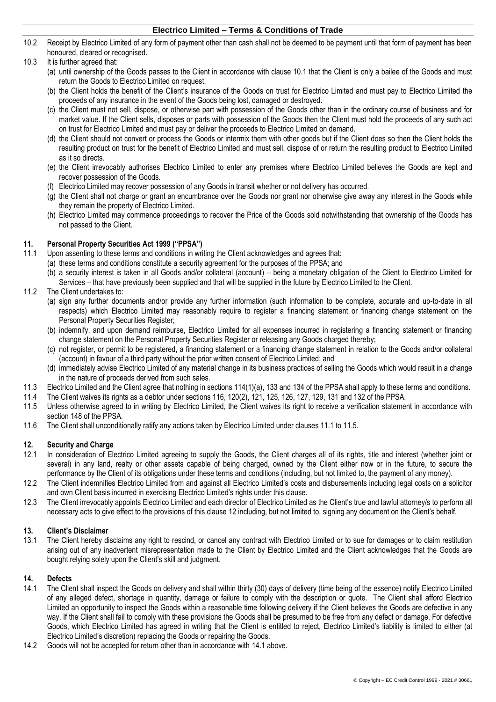10.2 Receipt by Electrico Limited of any form of payment other than cash shall not be deemed to be payment until that form of payment has been honoured, cleared or recognised.

## 10.3 It is further agreed that:

- (a) until ownership of the Goods passes to the Client in accordance with clause [10.1](#page-1-2) that the Client is only a bailee of the Goods and must return the Goods to Electrico Limited on request.
- (b) the Client holds the benefit of the Client's insurance of the Goods on trust for Electrico Limited and must pay to Electrico Limited the proceeds of any insurance in the event of the Goods being lost, damaged or destroyed.
- (c) the Client must not sell, dispose, or otherwise part with possession of the Goods other than in the ordinary course of business and for market value. If the Client sells, disposes or parts with possession of the Goods then the Client must hold the proceeds of any such act on trust for Electrico Limited and must pay or deliver the proceeds to Electrico Limited on demand.
- (d) the Client should not convert or process the Goods or intermix them with other goods but if the Client does so then the Client holds the resulting product on trust for the benefit of Electrico Limited and must sell, dispose of or return the resulting product to Electrico Limited as it so directs.
- (e) the Client irrevocably authorises Electrico Limited to enter any premises where Electrico Limited believes the Goods are kept and recover possession of the Goods.
- (f) Electrico Limited may recover possession of any Goods in transit whether or not delivery has occurred.
- (g) the Client shall not charge or grant an encumbrance over the Goods nor grant nor otherwise give away any interest in the Goods while they remain the property of Electrico Limited.
- (h) Electrico Limited may commence proceedings to recover the Price of the Goods sold notwithstanding that ownership of the Goods has not passed to the Client.

### **11. Personal Property Securities Act 1999 ("PPSA")**

- <span id="page-2-0"></span>11.1 Upon assenting to these terms and conditions in writing the Client acknowledges and agrees that:
	- (a) these terms and conditions constitute a security agreement for the purposes of the PPSA; and
	- (b) a security interest is taken in all Goods and/or collateral (account) being a monetary obligation of the Client to Electrico Limited for Services – that have previously been supplied and that will be supplied in the future by Electrico Limited to the Client.

## 11.2 The Client undertakes to:

- (a) sign any further documents and/or provide any further information (such information to be complete, accurate and up-to-date in all respects) which Electrico Limited may reasonably require to register a financing statement or financing change statement on the Personal Property Securities Register;
- (b) indemnify, and upon demand reimburse, Electrico Limited for all expenses incurred in registering a financing statement or financing change statement on the Personal Property Securities Register or releasing any Goods charged thereby;
- (c) not register, or permit to be registered, a financing statement or a financing change statement in relation to the Goods and/or collateral (account) in favour of a third party without the prior written consent of Electrico Limited; and
- (d) immediately advise Electrico Limited of any material change in its business practices of selling the Goods which would result in a change in the nature of proceeds derived from such sales.
- 11.3 Electrico Limited and the Client agree that nothing in sections 114(1)(a), 133 and 134 of the PPSA shall apply to these terms and conditions.
- 11.4 The Client waives its rights as a debtor under sections 116, 120(2), 121, 125, 126, 127, 129, 131 and 132 of the PPSA.
- <span id="page-2-1"></span>11.5 Unless otherwise agreed to in writing by Electrico Limited, the Client waives its right to receive a verification statement in accordance with section 148 of the PPSA.
- 11.6 The Client shall unconditionally ratify any actions taken by Electrico Limited under clauses [11.1](#page-2-0) to [11.5.](#page-2-1)

## <span id="page-2-2"></span>**12. Security and Charge**

- In consideration of Electrico Limited agreeing to supply the Goods, the Client charges all of its rights, title and interest (whether joint or several) in any land, realty or other assets capable of being charged, owned by the Client either now or in the future, to secure the performance by the Client of its obligations under these terms and conditions (including, but not limited to, the payment of any money).
- 12.2 The Client indemnifies Electrico Limited from and against all Electrico Limited's costs and disbursements including legal costs on a solicitor and own Client basis incurred in exercising Electrico Limited's rights under this clause.
- 12.3 The Client irrevocably appoints Electrico Limited and each director of Electrico Limited as the Client's true and lawful attorney/s to perform all necessary acts to give effect to the provisions of this claus[e 12](#page-2-2) including, but not limited to, signing any document on the Client's behalf.

## **13. Client's Disclaimer**

13.1 The Client hereby disclaims any right to rescind, or cancel any contract with Electrico Limited or to sue for damages or to claim restitution arising out of any inadvertent misrepresentation made to the Client by Electrico Limited and the Client acknowledges that the Goods are bought relying solely upon the Client's skill and judgment.

## **14. Defects**

- <span id="page-2-3"></span>14.1 The Client shall inspect the Goods on delivery and shall within thirty (30) days of delivery (time being of the essence) notify Electrico Limited of any alleged defect, shortage in quantity, damage or failure to comply with the description or quote. The Client shall afford Electrico Limited an opportunity to inspect the Goods within a reasonable time following delivery if the Client believes the Goods are defective in any way. If the Client shall fail to comply with these provisions the Goods shall be presumed to be free from any defect or damage. For defective Goods, which Electrico Limited has agreed in writing that the Client is entitled to reject, Electrico Limited's liability is limited to either (at Electrico Limited's discretion) replacing the Goods or repairing the Goods.
- 14.2 Goods will not be accepted for return other than in accordance with [14.1](#page-2-3) above.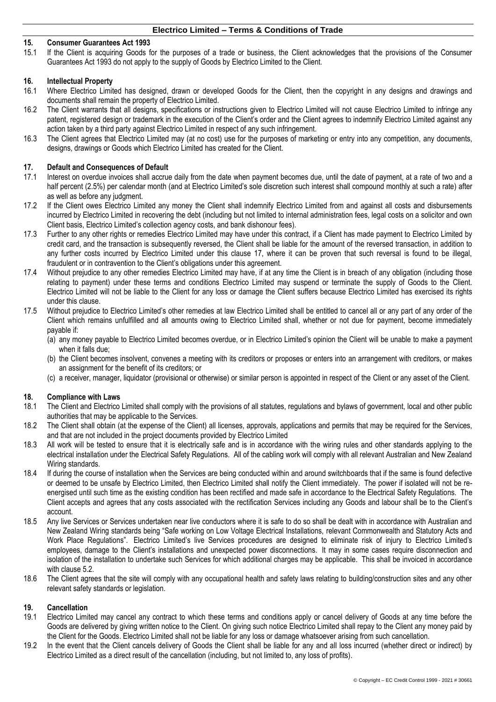## **15. Consumer Guarantees Act 1993**

15.1 If the Client is acquiring Goods for the purposes of a trade or business, the Client acknowledges that the provisions of the Consumer Guarantees Act 1993 do not apply to the supply of Goods by Electrico Limited to the Client.

### **16. Intellectual Property**

- 16.1 Where Electrico Limited has designed, drawn or developed Goods for the Client, then the copyright in any designs and drawings and documents shall remain the property of Electrico Limited.
- 16.2 The Client warrants that all designs, specifications or instructions given to Electrico Limited will not cause Electrico Limited to infringe any patent, registered design or trademark in the execution of the Client's order and the Client agrees to indemnify Electrico Limited against any action taken by a third party against Electrico Limited in respect of any such infringement.
- 16.3 The Client agrees that Electrico Limited may (at no cost) use for the purposes of marketing or entry into any competition, any documents, designs, drawings or Goods which Electrico Limited has created for the Client.

### **17. Default and Consequences of Default**

- 17.1 Interest on overdue invoices shall accrue daily from the date when payment becomes due, until the date of payment, at a rate of two and a half percent (2.5%) per calendar month (and at Electrico Limited's sole discretion such interest shall compound monthly at such a rate) after as well as before any judgment.
- 17.2 If the Client owes Electrico Limited any money the Client shall indemnify Electrico Limited from and against all costs and disbursements incurred by Electrico Limited in recovering the debt (including but not limited to internal administration fees, legal costs on a solicitor and own Client basis, Electrico Limited's collection agency costs, and bank dishonour fees).
- 17.3 Further to any other rights or remedies Electrico Limited may have under this contract, if a Client has made payment to Electrico Limited by credit card, and the transaction is subsequently reversed, the Client shall be liable for the amount of the reversed transaction, in addition to any further costs incurred by Electrico Limited under this clause 17, where it can be proven that such reversal is found to be illegal, fraudulent or in contravention to the Client's obligations under this agreement.
- 17.4 Without prejudice to any other remedies Electrico Limited may have, if at any time the Client is in breach of any obligation (including those relating to payment) under these terms and conditions Electrico Limited may suspend or terminate the supply of Goods to the Client. Electrico Limited will not be liable to the Client for any loss or damage the Client suffers because Electrico Limited has exercised its rights under this clause.
- 17.5 Without prejudice to Electrico Limited's other remedies at law Electrico Limited shall be entitled to cancel all or any part of any order of the Client which remains unfulfilled and all amounts owing to Electrico Limited shall, whether or not due for payment, become immediately payable if:
	- (a) any money payable to Electrico Limited becomes overdue, or in Electrico Limited's opinion the Client will be unable to make a payment when it falls due;
	- (b) the Client becomes insolvent, convenes a meeting with its creditors or proposes or enters into an arrangement with creditors, or makes an assignment for the benefit of its creditors; or
	- (c) a receiver, manager, liquidator (provisional or otherwise) or similar person is appointed in respect of the Client or any asset of the Client.

### **18. Compliance with Laws**

- 18.1 The Client and Electrico Limited shall comply with the provisions of all statutes, regulations and bylaws of government, local and other public authorities that may be applicable to the Services.
- 18.2 The Client shall obtain (at the expense of the Client) all licenses, approvals, applications and permits that may be required for the Services, and that are not included in the project documents provided by Electrico Limited
- 18.3 All work will be tested to ensure that it is electrically safe and is in accordance with the wiring rules and other standards applying to the electrical installation under the Electrical Safety Regulations. All of the cabling work will comply with all relevant Australian and New Zealand Wiring standards.
- 18.4 If during the course of installation when the Services are being conducted within and around switchboards that if the same is found defective or deemed to be unsafe by Electrico Limited, then Electrico Limited shall notify the Client immediately. The power if isolated will not be reenergised until such time as the existing condition has been rectified and made safe in accordance to the Electrical Safety Regulations. The Client accepts and agrees that any costs associated with the rectification Services including any Goods and labour shall be to the Client's account.
- 18.5 Any live Services or Services undertaken near live conductors where it is safe to do so shall be dealt with in accordance with Australian and New Zealand Wiring standards being "Safe working on Low Voltage Electrical Installations, relevant Commonwealth and Statutory Acts and Work Place Regulations". Electrico Limited's live Services procedures are designed to eliminate risk of injury to Electrico Limited's employees, damage to the Client's installations and unexpected power disconnections. It may in some cases require disconnection and isolation of the installation to undertake such Services for which additional charges may be applicable. This shall be invoiced in accordance with clause 5.2.
- 18.6 The Client agrees that the site will comply with any occupational health and safety laws relating to building/construction sites and any other relevant safety standards or legislation.

### **19. Cancellation**

- 19.1 Electrico Limited may cancel any contract to which these terms and conditions apply or cancel delivery of Goods at any time before the Goods are delivered by giving written notice to the Client. On giving such notice Electrico Limited shall repay to the Client any money paid by the Client for the Goods. Electrico Limited shall not be liable for any loss or damage whatsoever arising from such cancellation.
- 19.2 In the event that the Client cancels delivery of Goods the Client shall be liable for any and all loss incurred (whether direct or indirect) by Electrico Limited as a direct result of the cancellation (including, but not limited to, any loss of profits).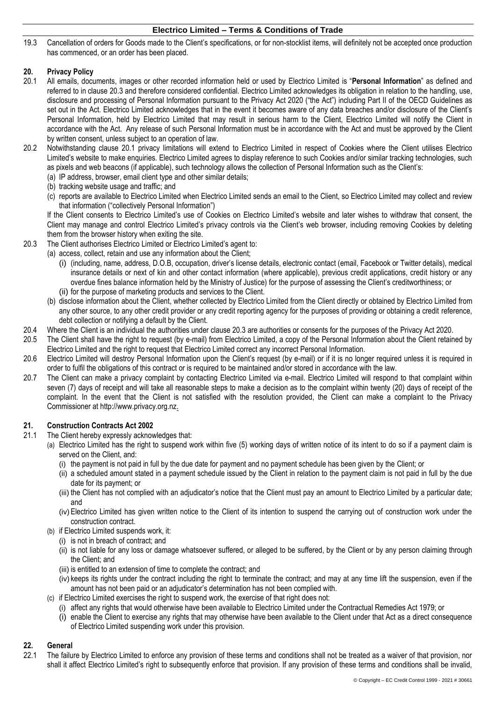19.3 Cancellation of orders for Goods made to the Client's specifications, or for non-stocklist items, will definitely not be accepted once production has commenced, or an order has been placed.

## **20. Privacy Policy**

- 20.1 All emails, documents, images or other recorded information held or used by Electrico Limited is "**Personal Information**" as defined and referred to in clause 20.3 and therefore considered confidential. Electrico Limited acknowledges its obligation in relation to the handling, use, disclosure and processing of Personal Information pursuant to the Privacy Act 2020 ("the Act") including Part II of the OECD Guidelines as set out in the Act. Electrico Limited acknowledges that in the event it becomes aware of any data breaches and/or disclosure of the Client's Personal Information, held by Electrico Limited that may result in serious harm to the Client, Electrico Limited will notify the Client in accordance with the Act. Any release of such Personal Information must be in accordance with the Act and must be approved by the Client by written consent, unless subject to an operation of law.
- 20.2 Notwithstanding clause 20.1 privacy limitations will extend to Electrico Limited in respect of Cookies where the Client utilises Electrico Limited's website to make enquiries. Electrico Limited agrees to display reference to such Cookies and/or similar tracking technologies, such as pixels and web beacons (if applicable), such technology allows the collection of Personal Information such as the Client's:
	- (a) IP address, browser, email client type and other similar details;
	- (b) tracking website usage and traffic; and
	- (c) reports are available to Electrico Limited when Electrico Limited sends an email to the Client, so Electrico Limited may collect and review that information ("collectively Personal Information")

If the Client consents to Electrico Limited's use of Cookies on Electrico Limited's website and later wishes to withdraw that consent, the Client may manage and control Electrico Limited's privacy controls via the Client's web browser, including removing Cookies by deleting them from the browser history when exiting the site.

- 20.3 The Client authorises Electrico Limited or Electrico Limited's agent to:
	- (a) access, collect, retain and use any information about the Client;
		- (i) (including, name, address, D.O.B, occupation, driver's license details, electronic contact (email, Facebook or Twitter details), medical insurance details or next of kin and other contact information (where applicable), previous credit applications, credit history or any overdue fines balance information held by the Ministry of Justice) for the purpose of assessing the Client's creditworthiness; or (ii) for the purpose of marketing products and services to the Client.
		- (b) disclose information about the Client, whether collected by Electrico Limited from the Client directly or obtained by Electrico Limited from any other source, to any other credit provider or any credit reporting agency for the purposes of providing or obtaining a credit reference, debt collection or notifying a default by the Client.
- 20.4 Where the Client is an individual the authorities under clause 20.3 are authorities or consents for the purposes of the Privacy Act 2020.
- 20.5 The Client shall have the right to request (by e-mail) from Electrico Limited, a copy of the Personal Information about the Client retained by Electrico Limited and the right to request that Electrico Limited correct any incorrect Personal Information.
- 20.6 Electrico Limited will destroy Personal Information upon the Client's request (by e-mail) or if it is no longer required unless it is required in order to fulfil the obligations of this contract or is required to be maintained and/or stored in accordance with the law.
- 20.7 The Client can make a privacy complaint by contacting Electrico Limited via e-mail. Electrico Limited will respond to that complaint within seven (7) days of receipt and will take all reasonable steps to make a decision as to the complaint within twenty (20) days of receipt of the complaint. In the event that the Client is not satisfied with the resolution provided, the Client can make a complaint to the Privacy Commissioner at http://www.privacy.org.nz.

## **21. Construction Contracts Act 2002**

- 21.1 The Client hereby expressly acknowledges that:
	- (a) Electrico Limited has the right to suspend work within five (5) working days of written notice of its intent to do so if a payment claim is served on the Client, and:
		- (i) the payment is not paid in full by the due date for payment and no payment schedule has been given by the Client; or
		- (ii) a scheduled amount stated in a payment schedule issued by the Client in relation to the payment claim is not paid in full by the due date for its payment; or
		- (iii) the Client has not complied with an adjudicator's notice that the Client must pay an amount to Electrico Limited by a particular date; and
		- (iv) Electrico Limited has given written notice to the Client of its intention to suspend the carrying out of construction work under the construction contract.
	- (b) if Electrico Limited suspends work, it:
		- (i) is not in breach of contract; and
		- (ii) is not liable for any loss or damage whatsoever suffered, or alleged to be suffered, by the Client or by any person claiming through the Client; and
		- (iii) is entitled to an extension of time to complete the contract; and
		- (iv) keeps its rights under the contract including the right to terminate the contract; and may at any time lift the suspension, even if the amount has not been paid or an adjudicator's determination has not been complied with.
	- (c) if Electrico Limited exercises the right to suspend work, the exercise of that right does not:
		- (i) affect any rights that would otherwise have been available to Electrico Limited under the Contractual Remedies Act 1979; or
			- (i) enable the Client to exercise any rights that may otherwise have been available to the Client under that Act as a direct consequence of Electrico Limited suspending work under this provision.

## **22. General**

22.1 The failure by Electrico Limited to enforce any provision of these terms and conditions shall not be treated as a waiver of that provision, nor shall it affect Electrico Limited's right to subsequently enforce that provision. If any provision of these terms and conditions shall be invalid,